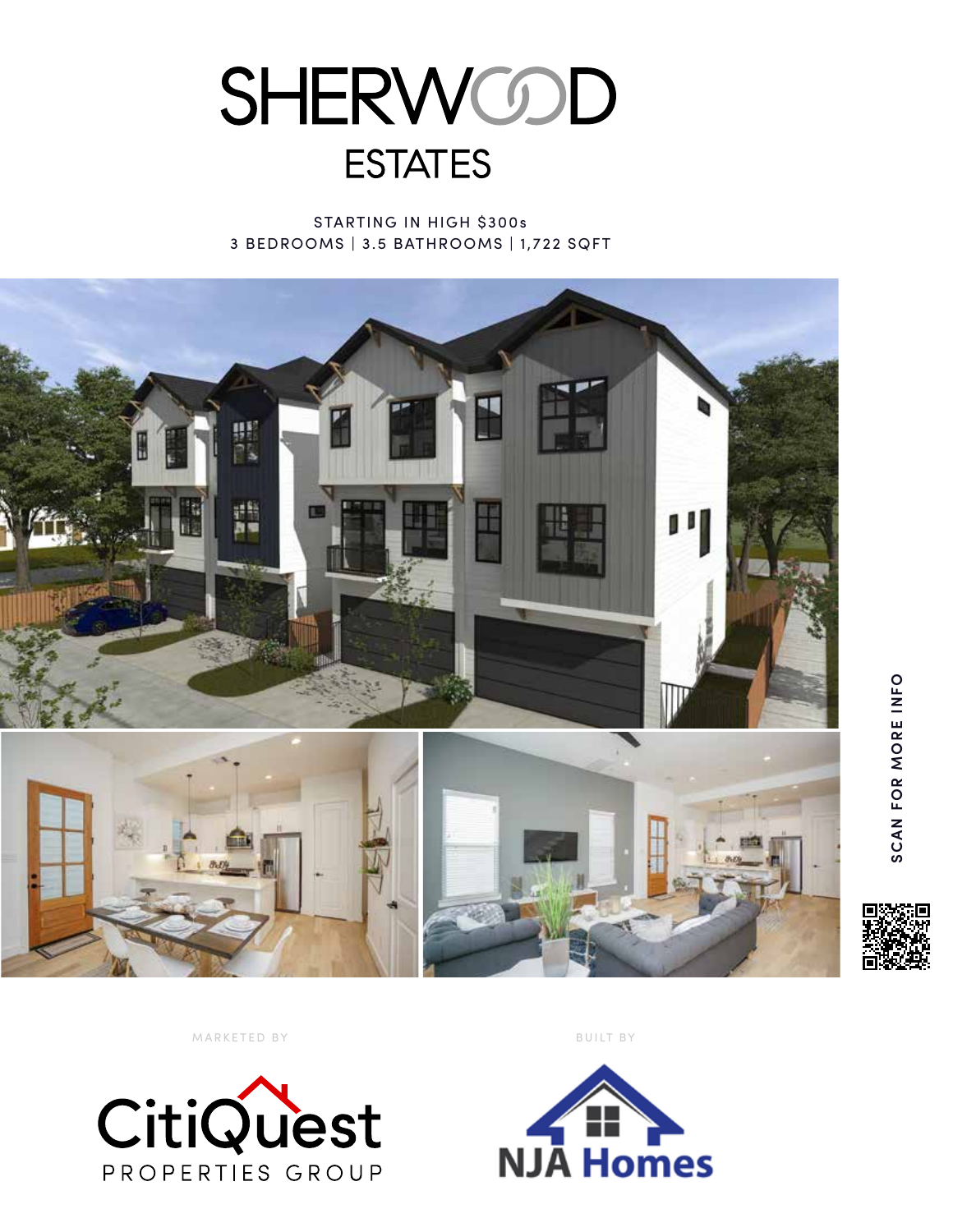

STARTING IN HIGH \$300s 3 BEDROOMS | 3.5 BATHROOMS | 1,722 SQFT



**SCAN FOR MORE INFO**

SCAN FOR MORE INFO

MARKETED BY BUILT BY



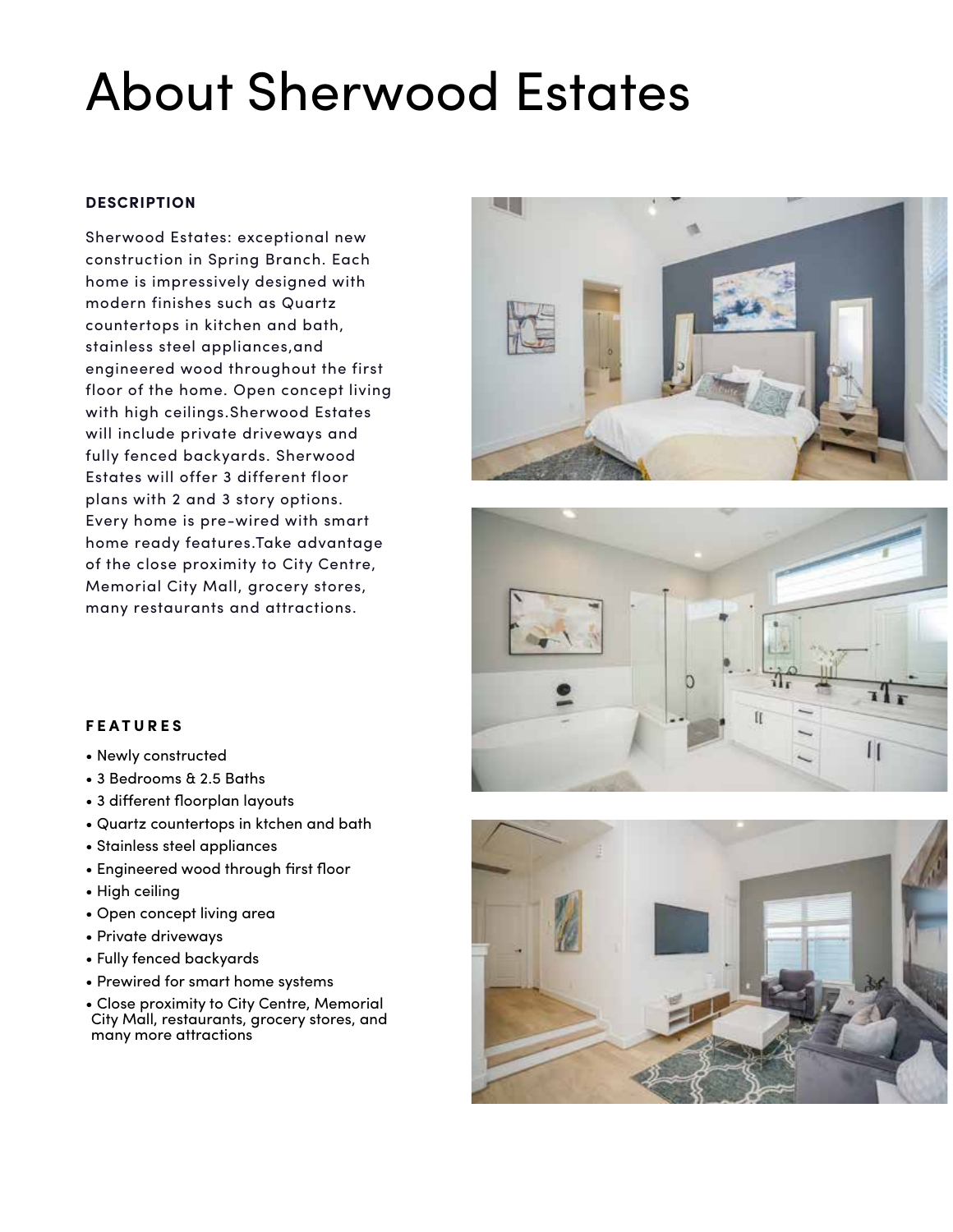## About Sherwood Estates

## **DESCRIPTION**

Sherwood Estates: exceptional new construction in Spring Branch. Each home is impressively designed with modern finishes such as Quartz countertops in kitchen and bath, stainless steel appliances,and engineered wood throughout the first floor of the home. Open concept living with high ceilings.Sherwood Estates will include private driveways and fully fenced backyards. Sherwood Estates will offer 3 different floor plans with 2 and 3 story options. Every home is pre-wired with smart home ready features.Take advantage of the close proximity to City Centre, Memorial City Mall, grocery stores, many restaurants and attractions.







- Newly constructed
- 3 Bedrooms & 2.5 Baths
- 3 different floorplan layouts
- Quartz countertops in ktchen and bath
- Stainless steel appliances
- Engineered wood through first floor
- High ceiling
- Open concept living area
- Private driveways
- Fully fenced backyards
- Prewired for smart home systems
- Close proximity to City Centre, Memorial City Mall, restaurants, grocery stores, and many more attractions

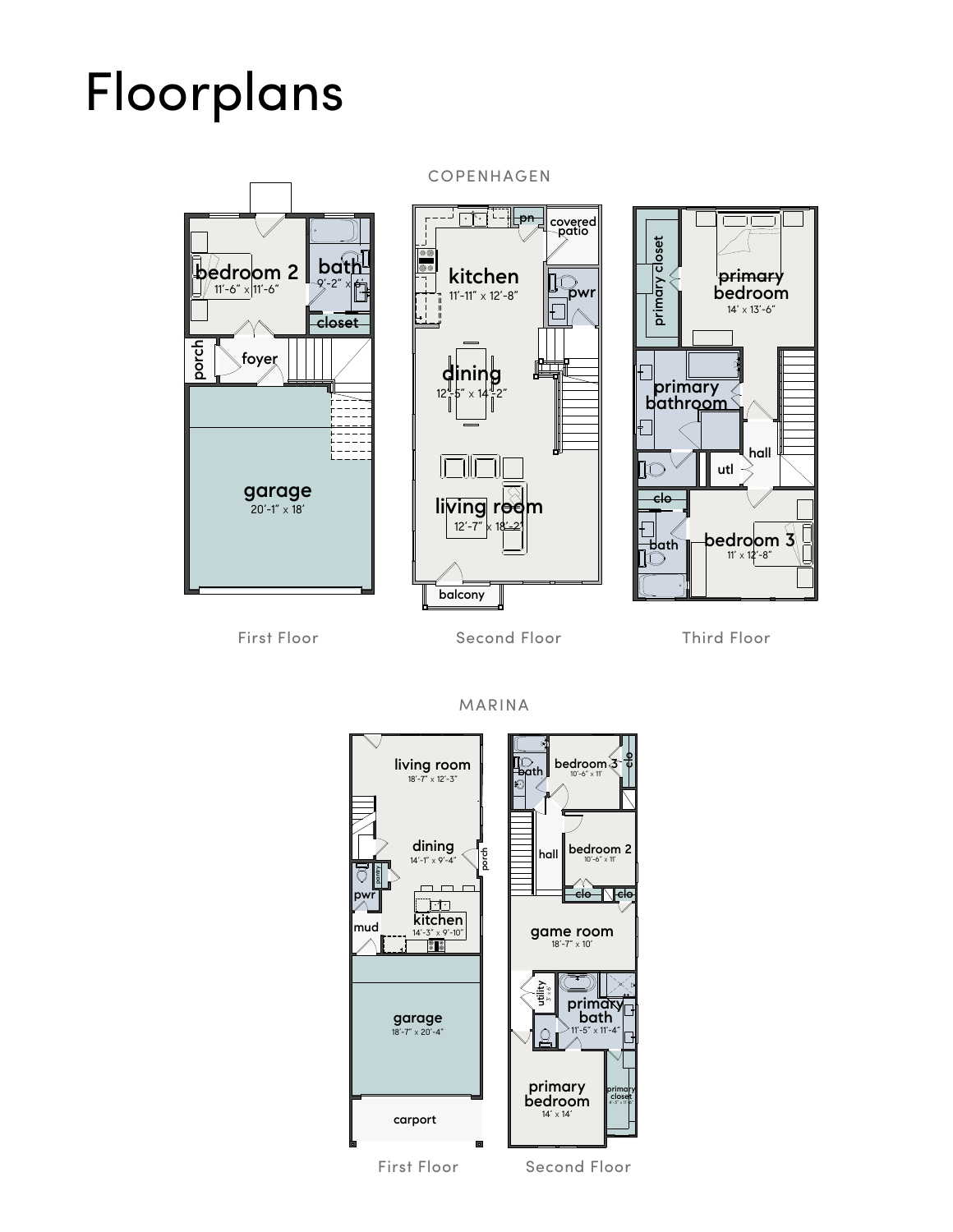## Floorplans



 $\lceil \cdot \rceil$  -  $\lVert$  pn covered patio <u>ie</u> kitchen **LOW** 11'-11"  $\times$  12'-8" 麠 dining 12'-5" X 14'-2" living room  $12' - 7"$ balcony



First Floor Second Floor Third Floor

MARINA



COPENHAGEN